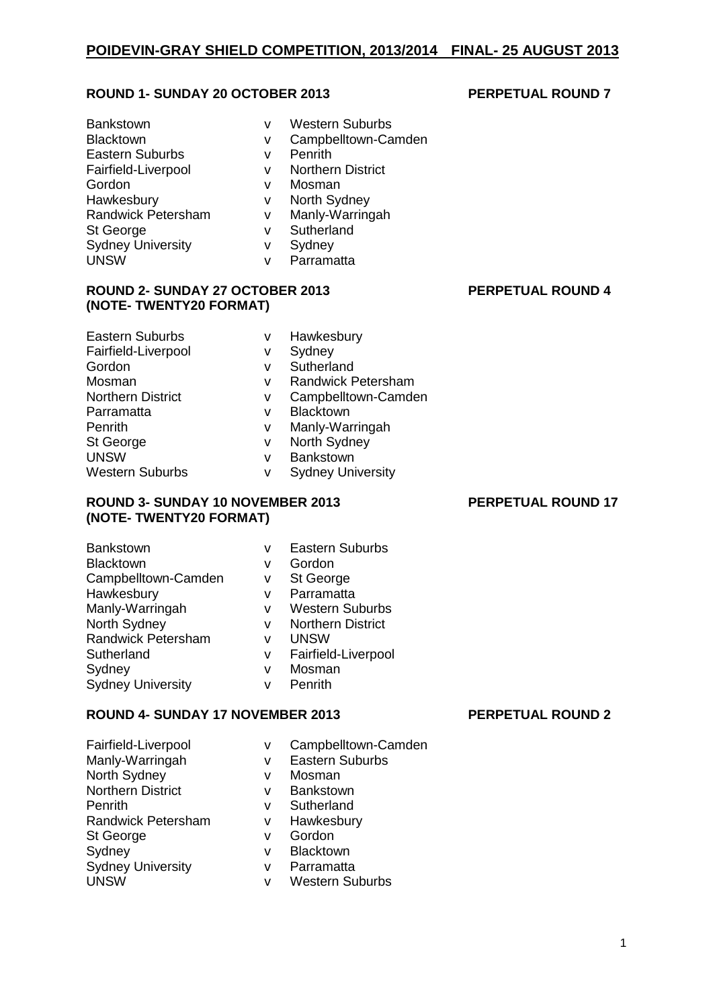# **ROUND 1- SUNDAY 20 OCTOBER 2013 PERPETUAL ROUND 7**

| <b>Bankstown</b>          | v | <b>Western Suburbs</b>   |
|---------------------------|---|--------------------------|
| <b>Blacktown</b>          | v | Campbelltown-Camden      |
| <b>Eastern Suburbs</b>    | v | Penrith                  |
| Fairfield-Liverpool       | v | <b>Northern District</b> |
| Gordon                    | v | Mosman                   |
| Hawkesbury                | ٧ | North Sydney             |
| <b>Randwick Petersham</b> | v | Manly-Warringah          |
| St George                 | v | Sutherland               |
| <b>Sydney University</b>  | v | Sydney                   |
| <b>UNSW</b>               | v | Parramatta               |
|                           |   |                          |

### **ROUND 2- SUNDAY 27 OCTOBER 2013 PERPETUAL ROUND 4 (NOTE- TWENTY20 FORMAT)**

| <b>Eastern Suburbs</b>   | v | Hawkesbury                |
|--------------------------|---|---------------------------|
| Fairfield-Liverpool      | ٧ | Sydney                    |
| Gordon                   | v | Sutherland                |
| Mosman                   | v | <b>Randwick Petersham</b> |
| <b>Northern District</b> | ٧ | Campbelltown-Camden       |
| Parramatta               | v | <b>Blacktown</b>          |
| Penrith                  | v | Manly-Warringah           |
| St George                | v | North Sydney              |
| <b>UNSW</b>              | v | <b>Bankstown</b>          |
| <b>Western Suburbs</b>   | v | <b>Sydney University</b>  |

### **ROUND 3- SUNDAY 10 NOVEMBER 2013 PERPETUAL ROUND 17 (NOTE- TWENTY20 FORMAT)**

| Bankstown                | v | <b>Eastern Suburbs</b>   |
|--------------------------|---|--------------------------|
| <b>Blacktown</b>         | v | Gordon                   |
| Campbelltown-Camden      | v | St George                |
| Hawkesbury               | v | Parramatta               |
| Manly-Warringah          | v | <b>Western Suburbs</b>   |
| North Sydney             | v | <b>Northern District</b> |
| Randwick Petersham       | v | <b>UNSW</b>              |
| Sutherland               | v | Fairfield-Liverpool      |
| Sydney                   | v | Mosman                   |
| <b>Sydney University</b> | v | Penrith                  |

# **ROUND 4- SUNDAY 17 NOVEMBER 2013 PERPETUAL ROUND 2**

| Fairfield-Liverpool       | ٧ | Campbelltown-Camden    |
|---------------------------|---|------------------------|
| Manly-Warringah           | v | <b>Eastern Suburbs</b> |
| North Sydney              | v | Mosman                 |
| <b>Northern District</b>  | v | <b>Bankstown</b>       |
| Penrith                   | v | Sutherland             |
| <b>Randwick Petersham</b> | v | Hawkesbury             |
| St George                 | v | Gordon                 |
| Sydney                    | v | <b>Blacktown</b>       |
| <b>Sydney University</b>  | v | Parramatta             |
| <b>UNSW</b>               | v | <b>Western Suburbs</b> |
|                           |   |                        |